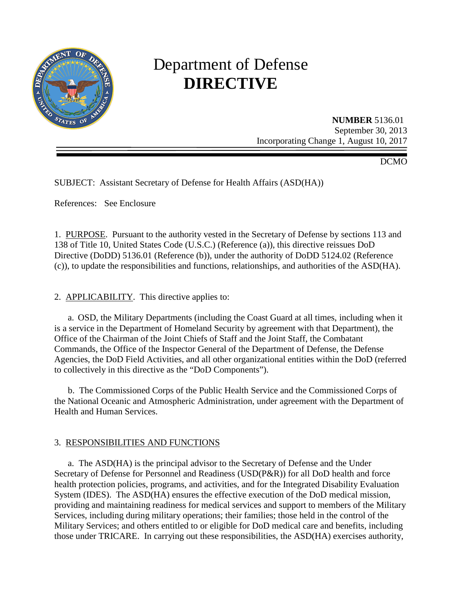

# Department of Defense **DIRECTIVE**

**NUMBER** 5136.01 September 30, 2013 Incorporating Change 1, August 10, 2017

DCMO

SUBJECT: Assistant Secretary of Defense for Health Affairs (ASD(HA))

References: See Enclosure

1. PURPOSE. Pursuant to the authority vested in the Secretary of Defense by sections 113 and 138 of Title 10, United States Code (U.S.C.) (Reference (a)), this directive reissues DoD Directive (DoDD) 5136.01 (Reference (b)), under the authority of DoDD 5124.02 (Reference (c)), to update the responsibilities and functions, relationships, and authorities of the ASD(HA).

2. APPLICABILITY. This directive applies to:

 a. OSD, the Military Departments (including the Coast Guard at all times, including when it is a service in the Department of Homeland Security by agreement with that Department), the Office of the Chairman of the Joint Chiefs of Staff and the Joint Staff, the Combatant Commands, the Office of the Inspector General of the Department of Defense, the Defense Agencies, the DoD Field Activities, and all other organizational entities within the DoD (referred to collectively in this directive as the "DoD Components").

 b. The Commissioned Corps of the Public Health Service and the Commissioned Corps of the National Oceanic and Atmospheric Administration, under agreement with the Department of Health and Human Services.

# 3. RESPONSIBILITIES AND FUNCTIONS

 a. The ASD(HA) is the principal advisor to the Secretary of Defense and the Under Secretary of Defense for Personnel and Readiness (USD(P&R)) for all DoD health and force health protection policies, programs, and activities, and for the Integrated Disability Evaluation System (IDES). The ASD(HA) ensures the effective execution of the DoD medical mission, providing and maintaining readiness for medical services and support to members of the Military Services, including during military operations; their families; those held in the control of the Military Services; and others entitled to or eligible for DoD medical care and benefits, including those under TRICARE. In carrying out these responsibilities, the ASD(HA) exercises authority,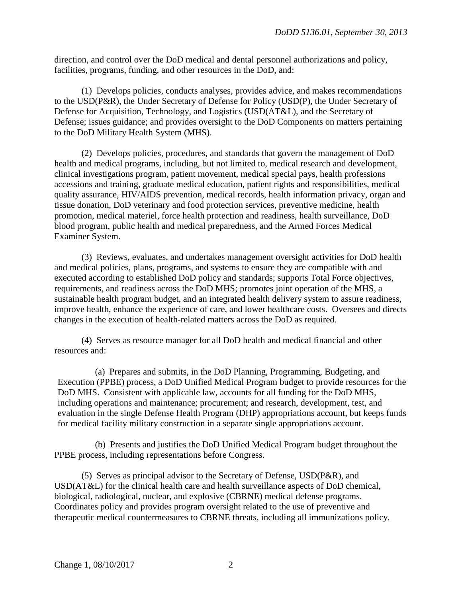direction, and control over the DoD medical and dental personnel authorizations and policy, facilities, programs, funding, and other resources in the DoD, and:

(1) Develops policies, conducts analyses, provides advice, and makes recommendations to the USD(P&R), the Under Secretary of Defense for Policy (USD(P), the Under Secretary of Defense for Acquisition, Technology, and Logistics (USD(AT&L), and the Secretary of Defense; issues guidance; and provides oversight to the DoD Components on matters pertaining to the DoD Military Health System (MHS).

(2) Develops policies, procedures, and standards that govern the management of DoD health and medical programs, including, but not limited to, medical research and development, clinical investigations program, patient movement, medical special pays, health professions accessions and training, graduate medical education, patient rights and responsibilities, medical quality assurance, HIV/AIDS prevention, medical records, health information privacy, organ and tissue donation, DoD veterinary and food protection services, preventive medicine, health promotion, medical materiel, force health protection and readiness, health surveillance, DoD blood program, public health and medical preparedness, and the Armed Forces Medical Examiner System.

(3) Reviews, evaluates, and undertakes management oversight activities for DoD health and medical policies, plans, programs, and systems to ensure they are compatible with and executed according to established DoD policy and standards; supports Total Force objectives, requirements, and readiness across the DoD MHS; promotes joint operation of the MHS, a sustainable health program budget, and an integrated health delivery system to assure readiness, improve health, enhance the experience of care, and lower healthcare costs. Oversees and directs changes in the execution of health-related matters across the DoD as required.

(4) Serves as resource manager for all DoD health and medical financial and other resources and:

(a) Prepares and submits, in the DoD Planning, Programming, Budgeting, and Execution (PPBE) process, a DoD Unified Medical Program budget to provide resources for the DoD MHS. Consistent with applicable law, accounts for all funding for the DoD MHS, including operations and maintenance; procurement; and research, development, test, and evaluation in the single Defense Health Program (DHP) appropriations account, but keeps funds for medical facility military construction in a separate single appropriations account.

(b) Presents and justifies the DoD Unified Medical Program budget throughout the PPBE process, including representations before Congress.

(5) Serves as principal advisor to the Secretary of Defense, USD(P&R), and USD(AT&L) for the clinical health care and health surveillance aspects of DoD chemical, biological, radiological, nuclear, and explosive (CBRNE) medical defense programs. Coordinates policy and provides program oversight related to the use of preventive and therapeutic medical countermeasures to CBRNE threats, including all immunizations policy.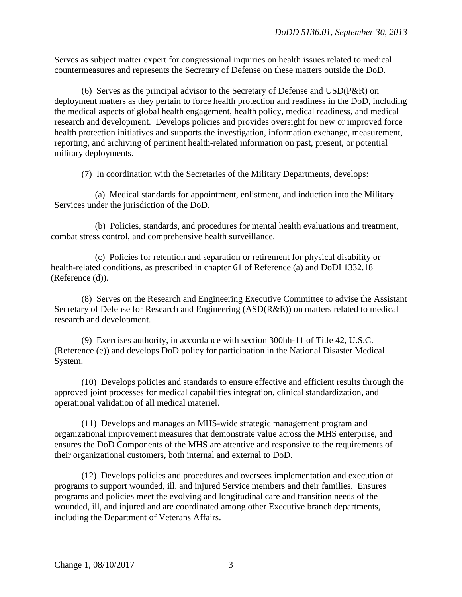Serves as subject matter expert for congressional inquiries on health issues related to medical countermeasures and represents the Secretary of Defense on these matters outside the DoD.

(6) Serves as the principal advisor to the Secretary of Defense and USD(P&R) on deployment matters as they pertain to force health protection and readiness in the DoD, including the medical aspects of global health engagement, health policy, medical readiness, and medical research and development. Develops policies and provides oversight for new or improved force health protection initiatives and supports the investigation, information exchange, measurement, reporting, and archiving of pertinent health-related information on past, present, or potential military deployments.

(7) In coordination with the Secretaries of the Military Departments, develops:

 (a) Medical standards for appointment, enlistment, and induction into the Military Services under the jurisdiction of the DoD.

(b) Policies, standards, and procedures for mental health evaluations and treatment, combat stress control, and comprehensive health surveillance.

(c) Policies for retention and separation or retirement for physical disability or health-related conditions, as prescribed in chapter 61 of Reference (a) and DoDI 1332.18 (Reference (d)).

(8) Serves on the Research and Engineering Executive Committee to advise the Assistant Secretary of Defense for Research and Engineering (ASD(R&E)) on matters related to medical research and development.

(9) Exercises authority, in accordance with section 300hh-11 of Title 42, U.S.C. (Reference (e)) and develops DoD policy for participation in the National Disaster Medical System.

(10) Develops policies and standards to ensure effective and efficient results through the approved joint processes for medical capabilities integration, clinical standardization, and operational validation of all medical materiel.

(11) Develops and manages an MHS-wide strategic management program and organizational improvement measures that demonstrate value across the MHS enterprise, and ensures the DoD Components of the MHS are attentive and responsive to the requirements of their organizational customers, both internal and external to DoD.

(12) Develops policies and procedures and oversees implementation and execution of programs to support wounded, ill, and injured Service members and their families. Ensures programs and policies meet the evolving and longitudinal care and transition needs of the wounded, ill, and injured and are coordinated among other Executive branch departments, including the Department of Veterans Affairs.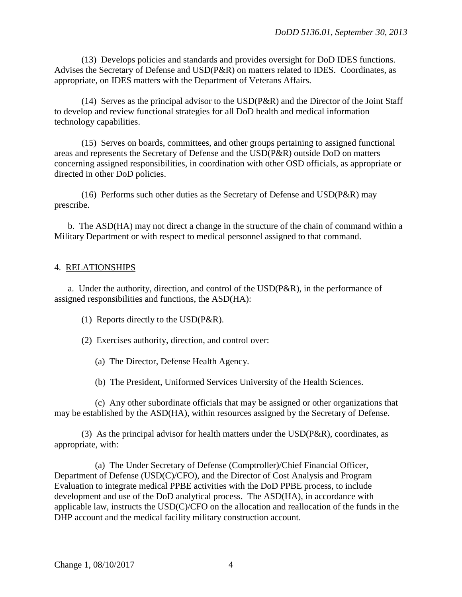(13) Develops policies and standards and provides oversight for DoD IDES functions. Advises the Secretary of Defense and USD(P&R) on matters related to IDES. Coordinates, as appropriate, on IDES matters with the Department of Veterans Affairs.

(14) Serves as the principal advisor to the USD(P&R) and the Director of the Joint Staff to develop and review functional strategies for all DoD health and medical information technology capabilities.

(15) Serves on boards, committees, and other groups pertaining to assigned functional areas and represents the Secretary of Defense and the USD(P&R) outside DoD on matters concerning assigned responsibilities, in coordination with other OSD officials, as appropriate or directed in other DoD policies.

(16) Performs such other duties as the Secretary of Defense and USD(P&R) may prescribe.

b. The ASD(HA) may not direct a change in the structure of the chain of command within a Military Department or with respect to medical personnel assigned to that command.

#### 4. RELATIONSHIPS

a. Under the authority, direction, and control of the USD(P&R), in the performance of assigned responsibilities and functions, the ASD(HA):

- (1) Reports directly to the USD(P&R).
- (2) Exercises authority, direction, and control over:
	- (a) The Director, Defense Health Agency.
	- (b) The President, Uniformed Services University of the Health Sciences.

(c) Any other subordinate officials that may be assigned or other organizations that may be established by the ASD(HA), within resources assigned by the Secretary of Defense.

(3) As the principal advisor for health matters under the  $\text{USD}(P\&R)$ , coordinates, as appropriate, with:

(a) The Under Secretary of Defense (Comptroller)/Chief Financial Officer, Department of Defense (USD(C)/CFO), and the Director of Cost Analysis and Program Evaluation to integrate medical PPBE activities with the DoD PPBE process, to include development and use of the DoD analytical process. The ASD(HA), in accordance with applicable law, instructs the USD(C)/CFO on the allocation and reallocation of the funds in the DHP account and the medical facility military construction account.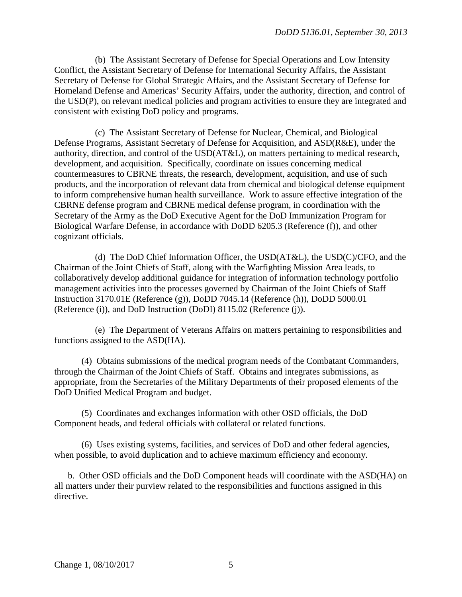(b) The Assistant Secretary of Defense for Special Operations and Low Intensity Conflict, the Assistant Secretary of Defense for International Security Affairs, the Assistant Secretary of Defense for Global Strategic Affairs, and the Assistant Secretary of Defense for Homeland Defense and Americas' Security Affairs, under the authority, direction, and control of the USD(P), on relevant medical policies and program activities to ensure they are integrated and consistent with existing DoD policy and programs.

(c) The Assistant Secretary of Defense for Nuclear, Chemical, and Biological Defense Programs, Assistant Secretary of Defense for Acquisition, and ASD(R&E), under the authority, direction, and control of the USD(AT&L), on matters pertaining to medical research, development, and acquisition. Specifically, coordinate on issues concerning medical countermeasures to CBRNE threats, the research, development, acquisition, and use of such products, and the incorporation of relevant data from chemical and biological defense equipment to inform comprehensive human health surveillance. Work to assure effective integration of the CBRNE defense program and CBRNE medical defense program, in coordination with the Secretary of the Army as the DoD Executive Agent for the DoD Immunization Program for Biological Warfare Defense, in accordance with DoDD 6205.3 (Reference (f)), and other cognizant officials.

(d) The DoD Chief Information Officer, the USD(AT&L), the USD(C)/CFO, and the Chairman of the Joint Chiefs of Staff, along with the Warfighting Mission Area leads, to collaboratively develop additional guidance for integration of information technology portfolio management activities into the processes governed by Chairman of the Joint Chiefs of Staff Instruction 3170.01E (Reference (g)), DoDD 7045.14 (Reference (h)), DoDD 5000.01 (Reference (i)), and DoD Instruction (DoDI) 8115.02 (Reference (j)).

(e) The Department of Veterans Affairs on matters pertaining to responsibilities and functions assigned to the ASD(HA).

(4) Obtains submissions of the medical program needs of the Combatant Commanders, through the Chairman of the Joint Chiefs of Staff. Obtains and integrates submissions, as appropriate, from the Secretaries of the Military Departments of their proposed elements of the DoD Unified Medical Program and budget.

(5) Coordinates and exchanges information with other OSD officials, the DoD Component heads, and federal officials with collateral or related functions.

(6) Uses existing systems, facilities, and services of DoD and other federal agencies, when possible, to avoid duplication and to achieve maximum efficiency and economy.

 b. Other OSD officials and the DoD Component heads will coordinate with the ASD(HA) on all matters under their purview related to the responsibilities and functions assigned in this directive.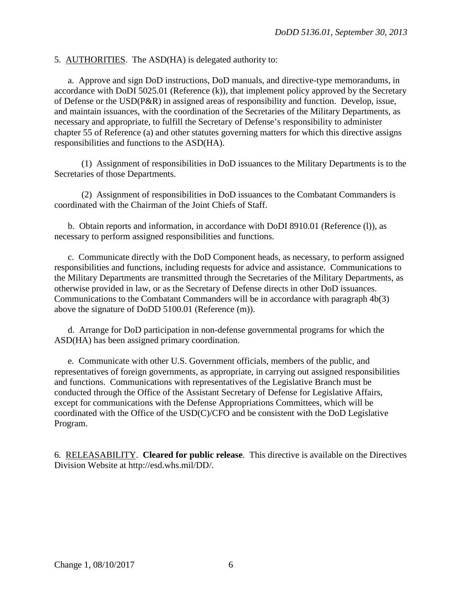#### 5. AUTHORITIES. The ASD(HA) is delegated authority to:

a. Approve and sign DoD instructions, DoD manuals, and directive-type memorandums, in accordance with DoDI 5025.01 (Reference (k)), that implement policy approved by the Secretary of Defense or the USD(P&R) in assigned areas of responsibility and function. Develop, issue, and maintain issuances, with the coordination of the Secretaries of the Military Departments, as necessary and appropriate, to fulfill the Secretary of Defense's responsibility to administer chapter 55 of Reference (a) and other statutes governing matters for which this directive assigns responsibilities and functions to the ASD(HA).

(1) Assignment of responsibilities in DoD issuances to the Military Departments is to the Secretaries of those Departments.

(2) Assignment of responsibilities in DoD issuances to the Combatant Commanders is coordinated with the Chairman of the Joint Chiefs of Staff.

b. Obtain reports and information, in accordance with DoDI 8910.01 (Reference (l)), as necessary to perform assigned responsibilities and functions.

c. Communicate directly with the DoD Component heads, as necessary, to perform assigned responsibilities and functions, including requests for advice and assistance. Communications to the Military Departments are transmitted through the Secretaries of the Military Departments, as otherwise provided in law, or as the Secretary of Defense directs in other DoD issuances. Communications to the Combatant Commanders will be in accordance with paragraph 4b(3) above the signature of DoDD 5100.01 (Reference (m)).

 d. Arrange for DoD participation in non-defense governmental programs for which the ASD(HA) has been assigned primary coordination.

e. Communicate with other U.S. Government officials, members of the public, and representatives of foreign governments, as appropriate, in carrying out assigned responsibilities and functions. Communications with representatives of the Legislative Branch must be conducted through the Office of the Assistant Secretary of Defense for Legislative Affairs, except for communications with the Defense Appropriations Committees, which will be coordinated with the Office of the USD(C)/CFO and be consistent with the DoD Legislative Program.

6. RELEASABILITY. **Cleared for public release**. This directive is available on the Directives Division Website at http://esd.whs.mil/DD/.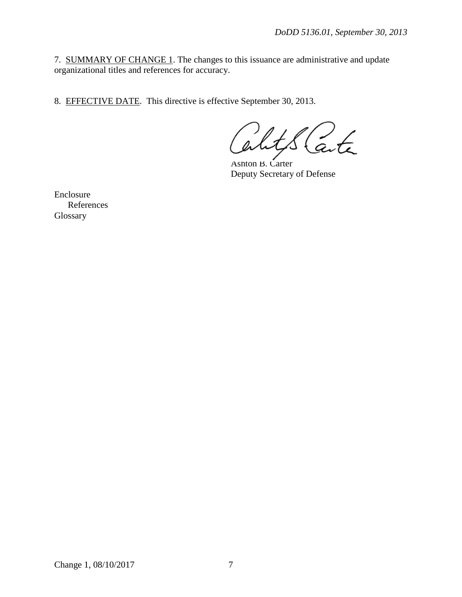7. SUMMARY OF CHANGE 1. The changes to this issuance are administrative and update organizational titles and references for accuracy.

8. EFFECTIVE DATE. This directive is effective September 30, 2013.

arte

Ashton B. Carter Deputy Secretary of Defense

Enclosure References Glossary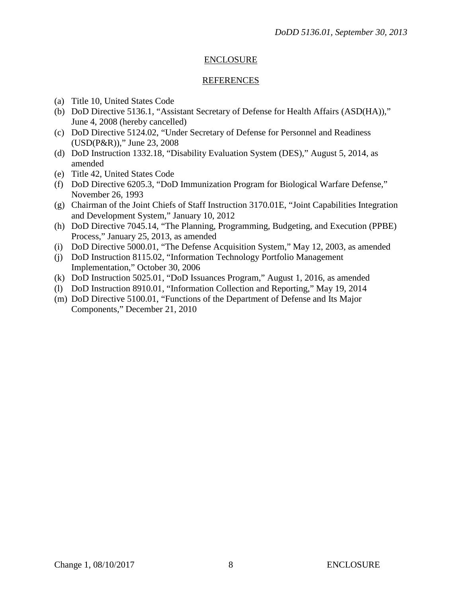### ENCLOSURE

#### REFERENCES

- (a) Title 10, United States Code
- (b) DoD Directive 5136.1, "Assistant Secretary of Defense for Health Affairs (ASD(HA))," June 4, 2008 (hereby cancelled)
- (c) DoD Directive 5124.02, "Under Secretary of Defense for Personnel and Readiness (USD(P&R))," June 23, 2008
- (d) DoD Instruction 1332.18, "Disability Evaluation System (DES)," August 5, 2014, as amended
- (e) Title 42, United States Code
- (f) DoD Directive 6205.3, "DoD Immunization Program for Biological Warfare Defense," November 26, 1993
- (g) Chairman of the Joint Chiefs of Staff Instruction 3170.01E, "Joint Capabilities Integration and Development System," January 10, 2012
- (h) DoD Directive 7045.14, "The Planning, Programming, Budgeting, and Execution (PPBE) Process," January 25, 2013, as amended
- (i) DoD Directive 5000.01, "The Defense Acquisition System," May 12, 2003, as amended
- (j) DoD Instruction 8115.02, "Information Technology Portfolio Management Implementation," October 30, 2006
- (k) DoD Instruction 5025.01, "DoD Issuances Program," August 1, 2016, as amended
- (l) DoD Instruction 8910.01, "Information Collection and Reporting," May 19, 2014
- (m) DoD Directive 5100.01, "Functions of the Department of Defense and Its Major Components," December 21, 2010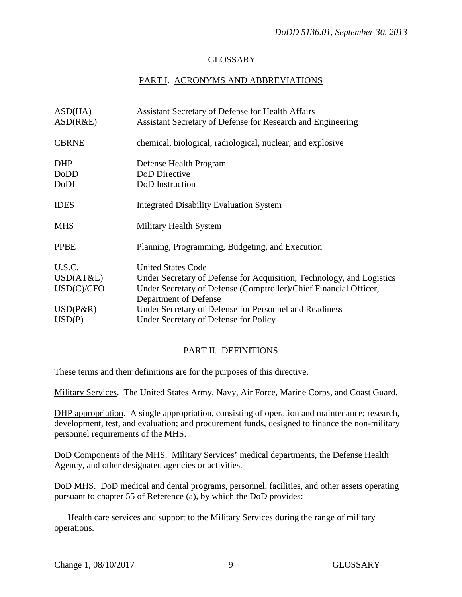## GLOSSARY

# PART I. ACRONYMS AND ABBREVIATIONS

| ASD(HA)      | <b>Assistant Secretary of Defense for Health Affairs</b>              |
|--------------|-----------------------------------------------------------------------|
| ASD(R&E)     | Assistant Secretary of Defense for Research and Engineering           |
| <b>CBRNE</b> | chemical, biological, radiological, nuclear, and explosive            |
| <b>DHP</b>   | Defense Health Program                                                |
| DoDD         | DoD Directive                                                         |
| DoDI         | DoD Instruction                                                       |
| <b>IDES</b>  | <b>Integrated Disability Evaluation System</b>                        |
| <b>MHS</b>   | Military Health System                                                |
| <b>PPBE</b>  | Planning, Programming, Budgeting, and Execution                       |
| U.S.C.       | <b>United States Code</b>                                             |
| USD(AT&L)    | Under Secretary of Defense for Acquisition, Technology, and Logistics |
| USD(C)/CFO   | Under Secretary of Defense (Comptroller)/Chief Financial Officer,     |
|              | Department of Defense                                                 |
| $USD(P\&R)$  | Under Secretary of Defense for Personnel and Readiness                |
| USD(P)       | Under Secretary of Defense for Policy                                 |
|              |                                                                       |

# PART II. DEFINITIONS

These terms and their definitions are for the purposes of this directive.

Military Services. The United States Army, Navy, Air Force, Marine Corps, and Coast Guard.

DHP appropriation. A single appropriation, consisting of operation and maintenance; research, development, test, and evaluation; and procurement funds, designed to finance the non-military personnel requirements of the MHS.

DoD Components of the MHS. Military Services' medical departments, the Defense Health Agency, and other designated agencies or activities.

DoD MHS. DoD medical and dental programs, personnel, facilities, and other assets operating pursuant to chapter 55 of Reference (a), by which the DoD provides:

 Health care services and support to the Military Services during the range of military operations.